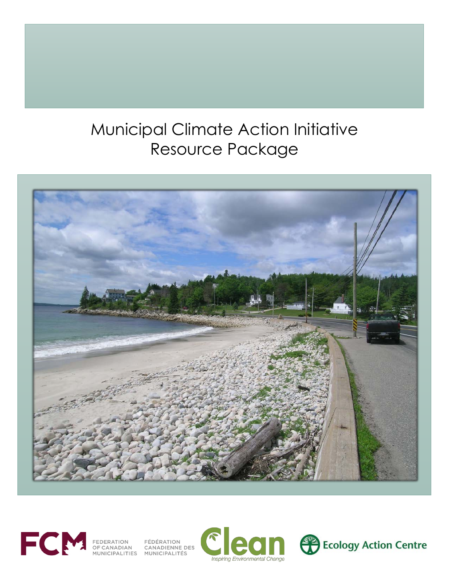# Municipal Climate Action Initiative Resource Package





FEDERATION FÉDÉRATION<br>OF CANADIAN CANADIENNE DES<br>MUNICIPALITIES MUNICIPALITÉS

**Inspiring Environmental Change** 

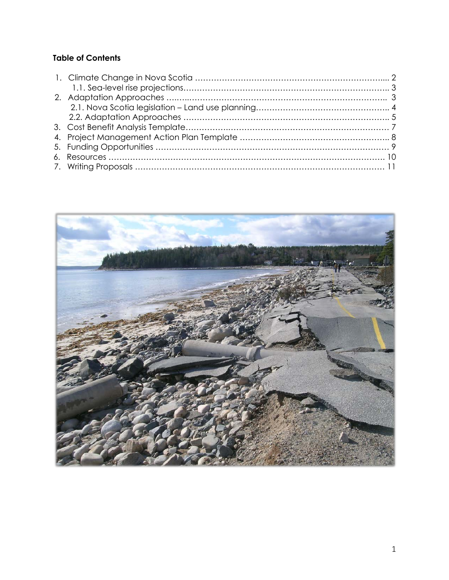#### **Table of Contents**

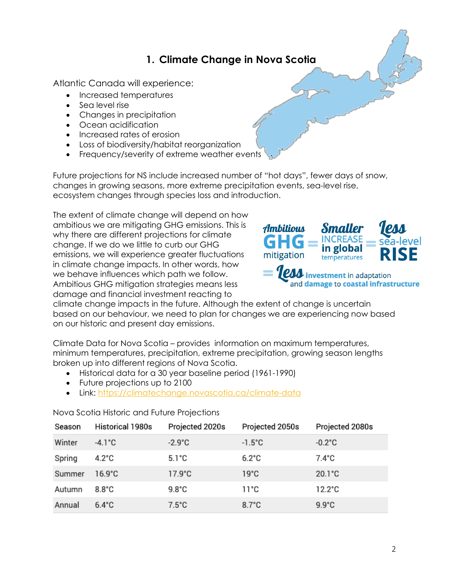## **1. Climate Change in Nova Scotia**

Atlantic Canada will experience:

- Increased temperatures
- Sea level rise
- Changes in precipitation
- Ocean acidification
- Increased rates of erosion
- Loss of biodiversity/habitat reorganization
- Frequency/severity of extreme weather events

Future projections for NS include increased number of "hot days", fewer days of snow, changes in growing seasons, more extreme precipitation events, sea-level rise, ecosystem changes through species loss and introduction.

The extent of climate change will depend on how ambitious we are mitigating GHG emissions. This is why there are different projections for climate change. If we do we little to curb our GHG emissions, we will experience greater fluctuations in climate change impacts. In other words, how we behave influences which path we follow. Ambitious GHG mitigation strategies means less damage and financial investment reacting to



climate change impacts in the future. Although the extent of change is uncertain based on our behaviour, we need to plan for changes we are experiencing now based on our historic and present day emissions.

Climate Data for Nova Scotia – provides information on maximum temperatures, minimum temperatures, precipitation, extreme precipitation, growing season lengths broken up into different regions of Nova Scotia.

- Historical data for a 30 year baseline period (1961-1990)
- Future projections up to 2100
- Link: https://climatechange.novascotia.ca/climate-data

Nova Scotia Historic and Future Projections

| Season | Historical 1980s | Projected 2020s  | Projected 2050s  | Projected 2080s  |
|--------|------------------|------------------|------------------|------------------|
| Winter | $-4.1^{\circ}$ C | $-2.9^{\circ}$ C | $-1.5^{\circ}$ C | $-0.2^{\circ}$ C |
| Spring | $4.2^{\circ}$ C  | $5.1^{\circ}$ C  | $6.2^{\circ}$ C  | $7.4^{\circ}$ C  |
| Summer | $16.9^{\circ}$ C | $17.9^{\circ}$ C | $19^{\circ}$ C   | $20.1^{\circ}$ C |
| Autumn | $8.8^{\circ}$ C  | $9.8^{\circ}$ C  | $11^{\circ}$ C   | $12.2^{\circ}$ C |
| Annual | $6.4^{\circ}$ C  | $7.5^{\circ}$ C  | $8.7^{\circ}$ C  | $9.9^{\circ}$ C  |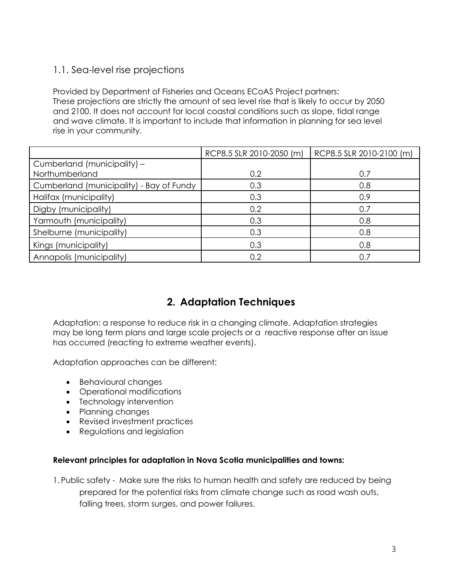### 1.1. Sea-level rise projections

Provided by Department of Fisheries and Oceans ECoAS Project partners: These projections are strictly the amount of sea level rise that is likely to occur by 2050 and 2100. It does not account for local coastal conditions such as slope, tidal range and wave climate. It is important to include that information in planning for sea level rise in your community.

|                                          | RCP8.5 SLR 2010-2050 (m) | RCP8.5 SLR 2010-2100 (m) |
|------------------------------------------|--------------------------|--------------------------|
| Cumberland (municipality) -              |                          |                          |
| Northumberland                           | 0.2                      | 0.7                      |
| Cumberland (municipality) - Bay of Fundy | 0.3                      | 0.8                      |
| Halifax (municipality)                   | 0.3                      | 0.9                      |
| Digby (municipality)                     | 0.2                      | 0.7                      |
| Yarmouth (municipality)                  | 0.3                      | 0.8                      |
| Shelburne (municipality)                 | 0.3                      | 0.8                      |
| Kings (municipality)                     | 0.3                      | 0.8                      |
| Annapolis (municipality)                 | 0.2                      | 0.7                      |

## **2. Adaptation Techniques**

Adaptation: a response to reduce risk in a changing climate. Adaptation strategies may be long term plans and large scale projects or a reactive response after an issue has occurred (reacting to extreme weather events).

Adaptation approaches can be different:

- Behavioural changes
- Operational modifications
- Technology intervention
- Planning changes
- Revised investment practices
- Regulations and legislation

#### **Relevant principles for adaptation in Nova Scotia municipalities and towns:**

1. Public safety - Make sure the risks to human health and safety are reduced by being prepared for the potential risks from climate change such as road wash outs, falling trees, storm surges, and power failures.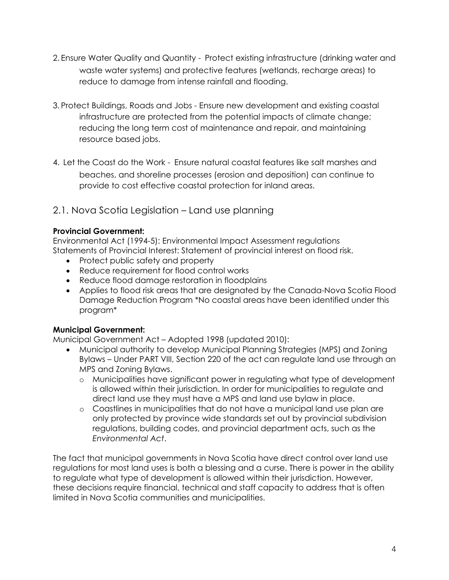- 2. Ensure Water Quality and Quantity Protect existing infrastructure (drinking water and waste water systems) and protective features (wetlands, recharge areas) to reduce to damage from intense rainfall and flooding.
- 3. Protect Buildings, Roads and Jobs Ensure new development and existing coastal infrastructure are protected from the potential impacts of climate change; reducing the long term cost of maintenance and repair, and maintaining resource based jobs.
- 4. Let the Coast do the Work Ensure natural coastal features like salt marshes and beaches, and shoreline processes (erosion and deposition) can continue to provide to cost effective coastal protection for inland areas.

#### 2.1. Nova Scotia Legislation – Land use planning

#### **Provincial Government:**

Environmental Act (1994-5): Environmental Impact Assessment regulations Statements of Provincial Interest: Statement of provincial interest on flood risk.

- Protect public safety and property
- Reduce requirement for flood control works
- Reduce flood damage restoration in floodplains
- Applies to flood risk areas that are designated by the Canada-Nova Scotia Flood Damage Reduction Program \*No coastal areas have been identified under this program\*

#### **Municipal Government:**

Municipal Government Act – Adopted 1998 (updated 2010):

- Municipal authority to develop Municipal Planning Strategies (MPS) and Zoning Bylaws – Under PART VIII, Section 220 of the act can regulate land use through an MPS and Zoning Bylaws.
	- o Municipalities have significant power in regulating what type of development is allowed within their jurisdiction. In order for municipalities to regulate and direct land use they must have a MPS and land use bylaw in place.
	- o Coastlines in municipalities that do not have a municipal land use plan are only protected by province wide standards set out by provincial subdivision regulations, building codes, and provincial department acts, such as the *Environmental Act*.

The fact that municipal governments in Nova Scotia have direct control over land use regulations for most land uses is both a blessing and a curse. There is power in the ability to regulate what type of development is allowed within their jurisdiction. However, these decisions require financial, technical and staff capacity to address that is often limited in Nova Scotia communities and municipalities.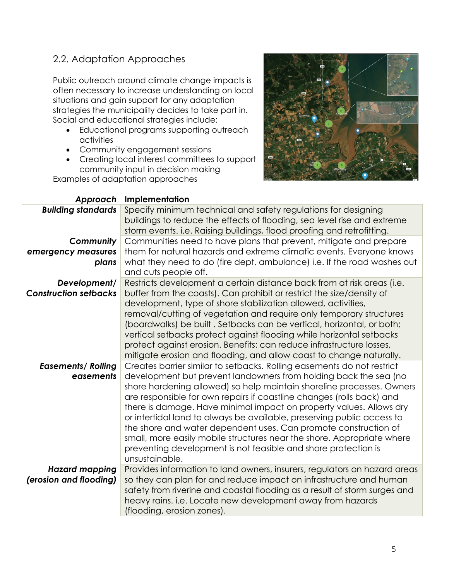### 2.2. Adaptation Approaches

Public outreach around climate change impacts is often necessary to increase understanding on local situations and gain support for any adaptation strategies the municipality decides to take part in. Social and educational strategies include:

- Educational programs supporting outreach activities
- Community engagement sessions
- Creating local interest committees to support community input in decision making

Examples of adaptation approaches



| Approach                     | Implementation                                                                                                                                                                                                                                                                                                                                                                                                                                                                                                                                                                                       |
|------------------------------|------------------------------------------------------------------------------------------------------------------------------------------------------------------------------------------------------------------------------------------------------------------------------------------------------------------------------------------------------------------------------------------------------------------------------------------------------------------------------------------------------------------------------------------------------------------------------------------------------|
| <b>Building standards</b>    | Specify minimum technical and safety regulations for designing<br>buildings to reduce the effects of flooding, sea level rise and extreme<br>storm events. i.e. Raising buildings, flood proofing and retrofitting.                                                                                                                                                                                                                                                                                                                                                                                  |
| Community                    | Communities need to have plans that prevent, mitigate and prepare                                                                                                                                                                                                                                                                                                                                                                                                                                                                                                                                    |
| emergency measures           | them for natural hazards and extreme climatic events. Everyone knows                                                                                                                                                                                                                                                                                                                                                                                                                                                                                                                                 |
| plans                        | what they need to do (fire dept, ambulance) i.e. If the road washes out<br>and cuts people off.                                                                                                                                                                                                                                                                                                                                                                                                                                                                                                      |
| Development/                 | Restricts development a certain distance back from at risk areas (i.e.                                                                                                                                                                                                                                                                                                                                                                                                                                                                                                                               |
| <b>Construction setbacks</b> | buffer from the coasts). Can prohibit or restrict the size/density of<br>development, type of shore stabilization allowed, activities,<br>removal/cutting of vegetation and require only temporary structures<br>(boardwalks) be built. Setbacks can be vertical, horizontal, or both;<br>vertical setbacks protect against flooding while horizontal setbacks<br>protect against erosion. Benefits: can reduce infrastructure losses,<br>mitigate erosion and flooding, and allow coast to change naturally.                                                                                        |
| <b>Easements/ Rolling</b>    | Creates barrier similar to setbacks. Rolling easements do not restrict                                                                                                                                                                                                                                                                                                                                                                                                                                                                                                                               |
| easements                    | development but prevent landowners from holding back the sea (no<br>shore hardening allowed) so help maintain shoreline processes. Owners<br>are responsible for own repairs if coastline changes (rolls back) and<br>there is damage. Have minimal impact on property values. Allows dry<br>or intertidal land to always be available, preserving public access to<br>the shore and water dependent uses. Can promote construction of<br>small, more easily mobile structures near the shore. Appropriate where<br>preventing development is not feasible and shore protection is<br>unsustainable. |
| <b>Hazard mapping</b>        | Provides information to land owners, insurers, regulators on hazard areas                                                                                                                                                                                                                                                                                                                                                                                                                                                                                                                            |
| (erosion and flooding)       | so they can plan for and reduce impact on infrastructure and human<br>safety from riverine and coastal flooding as a result of storm surges and<br>heavy rains. i.e. Locate new development away from hazards<br>(flooding, erosion zones).                                                                                                                                                                                                                                                                                                                                                          |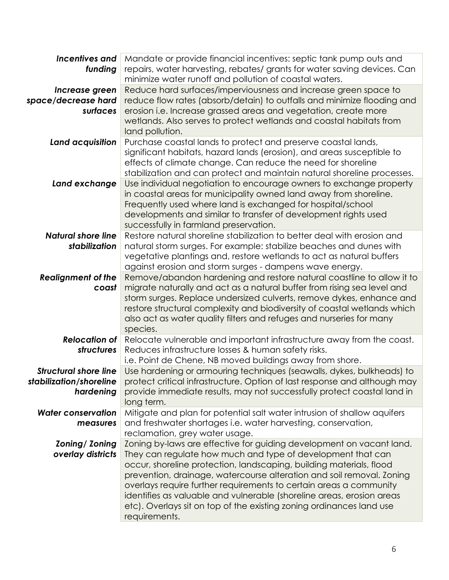| <b>Incentives and</b><br>funding | Mandate or provide financial incentives: septic tank pump outs and<br>repairs, water harvesting, rebates/grants for water saving devices. Can<br>minimize water runoff and pollution of coastal waters. |
|----------------------------------|---------------------------------------------------------------------------------------------------------------------------------------------------------------------------------------------------------|
| Increase green                   | Reduce hard surfaces/imperviousness and increase green space to                                                                                                                                         |
| space/decrease hard              | reduce flow rates (absorb/detain) to outfalls and minimize flooding and                                                                                                                                 |
| surfaces                         | erosion i.e. Increase grassed areas and vegetation, create more                                                                                                                                         |
|                                  | wetlands. Also serves to protect wetlands and coastal habitats from                                                                                                                                     |
|                                  | land pollution.                                                                                                                                                                                         |
| Land acquisition                 | Purchase coastal lands to protect and preserve coastal lands,                                                                                                                                           |
|                                  | significant habitats, hazard lands (erosion), and areas susceptible to                                                                                                                                  |
|                                  | effects of climate change. Can reduce the need for shoreline                                                                                                                                            |
|                                  | stabilization and can protect and maintain natural shoreline processes.                                                                                                                                 |
| Land exchange                    | Use individual negotiation to encourage owners to exchange property                                                                                                                                     |
|                                  | in coastal areas for municipality owned land away from shoreline.                                                                                                                                       |
|                                  | Frequently used where land is exchanged for hospital/school                                                                                                                                             |
|                                  | developments and similar to transfer of development rights used                                                                                                                                         |
|                                  | successfully in farmland preservation.                                                                                                                                                                  |
| <b>Natural shore line</b>        | Restore natural shoreline stabilization to better deal with erosion and                                                                                                                                 |
| stabilization                    | natural storm surges. For example: stabilize beaches and dunes with                                                                                                                                     |
|                                  | vegetative plantings and, restore wetlands to act as natural buffers                                                                                                                                    |
|                                  | against erosion and storm surges - dampens wave energy.                                                                                                                                                 |
| <b>Realignment of the</b>        | Remove/abandon hardening and restore natural coastline to allow it to                                                                                                                                   |
| coast                            | migrate naturally and act as a natural buffer from rising sea level and                                                                                                                                 |
|                                  | storm surges. Replace undersized culverts, remove dykes, enhance and                                                                                                                                    |
|                                  | restore structural complexity and biodiversity of coastal wetlands which                                                                                                                                |
|                                  | also act as water quality filters and refuges and nurseries for many                                                                                                                                    |
|                                  | species.                                                                                                                                                                                                |
| <b>Relocation of</b>             | Relocate vulnerable and important infrastructure away from the coast.                                                                                                                                   |
| structures                       | Reduces infrastructure losses & human safety risks.                                                                                                                                                     |
|                                  | i.e. Point de Chene, NB moved buildings away from shore.                                                                                                                                                |
| <b>Structural shore line</b>     | Use hardening or armouring techniques (seawalls, dykes, bulkheads) to                                                                                                                                   |
| stabilization/shoreline          | protect critical infrastructure. Option of last response and although may                                                                                                                               |
| hardening                        | provide immediate results, may not successfully protect coastal land in                                                                                                                                 |
|                                  | long term.                                                                                                                                                                                              |
| <b>Water conservation</b>        | Mitigate and plan for potential salt water intrusion of shallow aquifers                                                                                                                                |
| measures                         | and freshwater shortages i.e. water harvesting, conservation,                                                                                                                                           |
|                                  | reclamation, grey water usage.                                                                                                                                                                          |
| Zoning/ Zoning                   | Zoning by-laws are effective for guiding development on vacant land.                                                                                                                                    |
| overlay districts                | They can regulate how much and type of development that can                                                                                                                                             |
|                                  | occur, shoreline protection, landscaping, building materials, flood                                                                                                                                     |
|                                  | prevention, drainage, watercourse alteration and soil removal. Zoning                                                                                                                                   |
|                                  | overlays require further requirements to certain areas a community                                                                                                                                      |
|                                  | identifies as valuable and vulnerable (shoreline areas, erosion areas                                                                                                                                   |
|                                  | etc). Overlays sit on top of the existing zoning ordinances land use                                                                                                                                    |
|                                  | requirements.                                                                                                                                                                                           |
|                                  |                                                                                                                                                                                                         |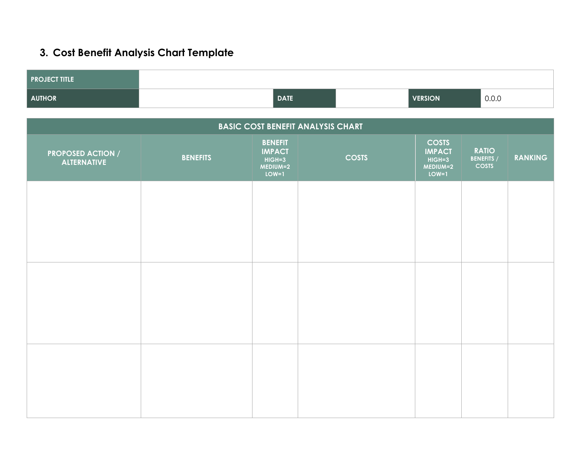## **3. Cost Benefit Analysis Chart Template**

| <b>PROJECT TITLE</b>                           |                 |                                                                      |                                          |                                                                    |                                                   |                |
|------------------------------------------------|-----------------|----------------------------------------------------------------------|------------------------------------------|--------------------------------------------------------------------|---------------------------------------------------|----------------|
| <b>AUTHOR</b>                                  |                 | <b>DATE</b>                                                          |                                          | <b>VERSION</b>                                                     | 0.0.0                                             |                |
|                                                |                 |                                                                      |                                          |                                                                    |                                                   |                |
|                                                |                 |                                                                      | <b>BASIC COST BENEFIT ANALYSIS CHART</b> |                                                                    |                                                   |                |
| <b>PROPOSED ACTION /</b><br><b>ALTERNATIVE</b> | <b>BENEFITS</b> | <b>BENEFIT</b><br><b>IMPACT</b><br>$HIGH = 3$<br>MEDIUM=2<br>$LOW=1$ | <b>COSTS</b>                             | <b>COSTS</b><br><b>IMPACT</b><br>$HIGH = 3$<br>MEDIUM=2<br>$LOW=1$ | <b>RATIO</b><br><b>BENEFITS /</b><br><b>COSTS</b> | <b>RANKING</b> |
|                                                |                 |                                                                      |                                          |                                                                    |                                                   |                |
|                                                |                 |                                                                      |                                          |                                                                    |                                                   |                |
|                                                |                 |                                                                      |                                          |                                                                    |                                                   |                |
|                                                |                 |                                                                      |                                          |                                                                    |                                                   |                |
|                                                |                 |                                                                      |                                          |                                                                    |                                                   |                |
|                                                |                 |                                                                      |                                          |                                                                    |                                                   |                |
|                                                |                 |                                                                      |                                          |                                                                    |                                                   |                |
|                                                |                 |                                                                      |                                          |                                                                    |                                                   |                |
|                                                |                 |                                                                      |                                          |                                                                    |                                                   |                |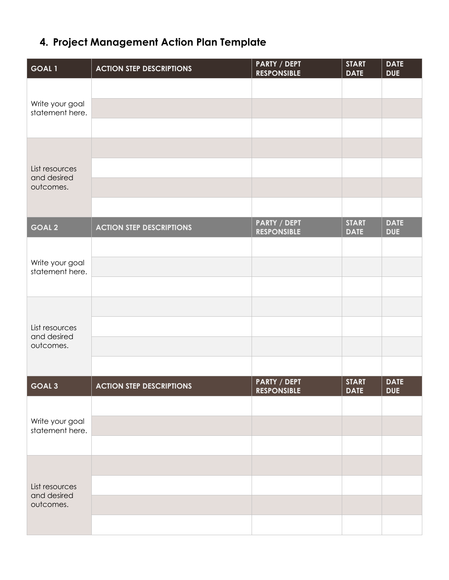## **4. Project Management Action Plan Template**

| GOAL1                              | <b>ACTION STEP DESCRIPTIONS</b> | <b>PARTY / DEPT</b><br><b>RESPONSIBLE</b> | <b>START</b><br><b>DATE</b> | <b>DATE</b><br><b>DUE</b> |
|------------------------------------|---------------------------------|-------------------------------------------|-----------------------------|---------------------------|
|                                    |                                 |                                           |                             |                           |
| Write your goal<br>statement here. |                                 |                                           |                             |                           |
|                                    |                                 |                                           |                             |                           |
|                                    |                                 |                                           |                             |                           |
| List resources<br>and desired      |                                 |                                           |                             |                           |
| outcomes.                          |                                 |                                           |                             |                           |
|                                    |                                 |                                           |                             |                           |
| <b>GOAL 2</b>                      | <b>ACTION STEP DESCRIPTIONS</b> | PARTY / DEPT<br><b>RESPONSIBLE</b>        | <b>START</b><br><b>DATE</b> | <b>DATE</b><br><b>DUE</b> |
|                                    |                                 |                                           |                             |                           |
| Write your goal<br>statement here. |                                 |                                           |                             |                           |
|                                    |                                 |                                           |                             |                           |
|                                    |                                 |                                           |                             |                           |
| List resources<br>and desired      |                                 |                                           |                             |                           |
| outcomes.                          |                                 |                                           |                             |                           |
|                                    |                                 |                                           |                             |                           |
| GOAL <sub>3</sub>                  | <b>ACTION STEP DESCRIPTIONS</b> | <b>PARTY / DEPT</b><br><b>RESPONSIBLE</b> | <b>START</b><br><b>DATE</b> | <b>DATE</b><br><b>DUE</b> |
|                                    |                                 |                                           |                             |                           |
| Write your goal<br>statement here. |                                 |                                           |                             |                           |
|                                    |                                 |                                           |                             |                           |
|                                    |                                 |                                           |                             |                           |
| List resources                     |                                 |                                           |                             |                           |
| and desired<br>outcomes.           |                                 |                                           |                             |                           |
|                                    |                                 |                                           |                             |                           |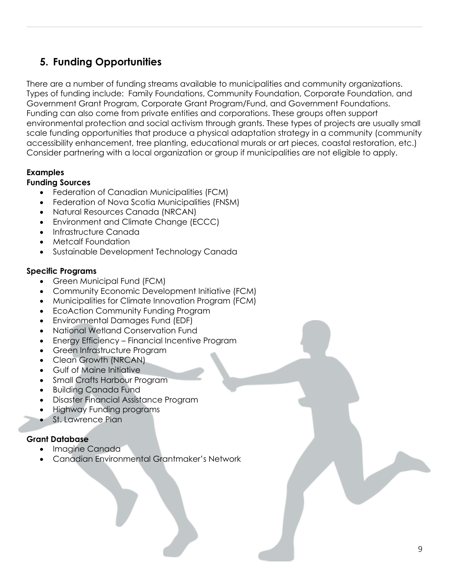## **5. Funding Opportunities**

There are a number of funding streams available to municipalities and community organizations. Types of funding include: Family Foundations, Community Foundation, Corporate Foundation, and Government Grant Program, Corporate Grant Program/Fund, and Government Foundations. Funding can also come from private entities and corporations. These groups often support environmental protection and social activism through grants. These types of projects are usually small scale funding opportunities that produce a physical adaptation strategy in a community (community accessibility enhancement, tree planting, educational murals or art pieces, coastal restoration, etc.) Consider partnering with a local organization or group if municipalities are not eligible to apply.

#### **Examples**

#### **Funding Sources**

- Federation of Canadian Municipalities (FCM)
- Federation of Nova Scotia Municipalities (FNSM)
- Natural Resources Canada (NRCAN)
- Environment and Climate Change (ECCC)
- Infrastructure Canada
- Metcalf Foundation
- Sustainable Development Technology Canada

#### **Specific Programs**

- Green Municipal Fund (FCM)
- Community Economic Development Initiative (FCM)
- Municipalities for Climate Innovation Program (FCM)
- **EcoAction Community Funding Program**
- Environmental Damages Fund (EDF)
- National Wetland Conservation Fund
- Energy Efficiency Financial Incentive Program
- Green Infrastructure Program
- Clean Growth (NRCAN)
- Gulf of Maine Initiative
- Small Crafts Harbour Program
- Building Canada Fund
- Disaster Financial Assistance Program
- Highway Funding programs
- St. Lawrence Plan

#### **Grant Database**

- Imagine Canada
- Canadian Environmental Grantmaker's Network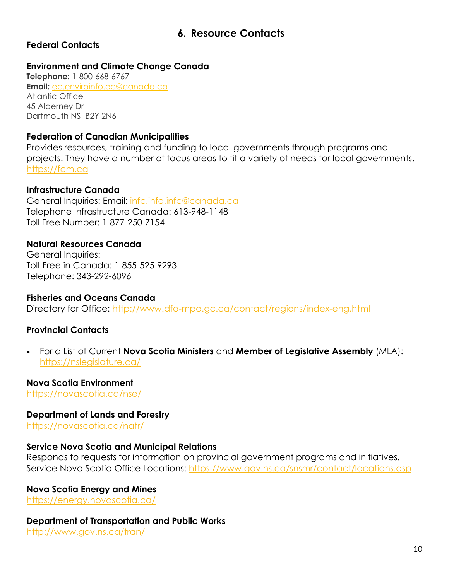## **6. Resource Contacts**

#### **Federal Contacts**

#### **Environment and Climate Change Canada**

**Telephone:** 1-800-668-6767 **Email:** ec.enviroinfo.ec@canada.ca Atlantic Office 45 Alderney Dr Dartmouth NS B2Y 2N6

#### **Federation of Canadian Municipalities**

Provides resources, training and funding to local governments through programs and projects. They have a number of focus areas to fit a variety of needs for local governments. https://fcm.ca

#### **Infrastructure Canada**

General Inquiries: Email: infc.info.infc@canada.ca Telephone Infrastructure Canada: 613-948-1148 Toll Free Number: 1-877-250-7154

## **Natural Resources Canada**

General Inquiries: Toll-Free in Canada: 1-855-525-9293 Telephone: 343-292-6096

#### **Fisheries and Oceans Canada**

Directory for Office: http://www.dfo-mpo.gc.ca/contact/regions/index-eng.html

#### **Provincial Contacts**

• For a List of Current **Nova Scotia Ministers** and **Member of Legislative Assembly** (MLA): https://nslegislature.ca/

#### **Nova Scotia Environment**

https://novascotia.ca/nse/

#### **Department of Lands and Forestry**

https://novascotia.ca/natr/

#### **Service Nova Scotia and Municipal Relations**

Responds to requests for information on provincial government programs and initiatives. Service Nova Scotia Office Locations: https://www.gov.ns.ca/snsmr/contact/locations.asp

#### **Nova Scotia Energy and Mines**

https://energy.novascotia.ca/

#### **Department of Transportation and Public Works**

http://www.gov.ns.ca/tran/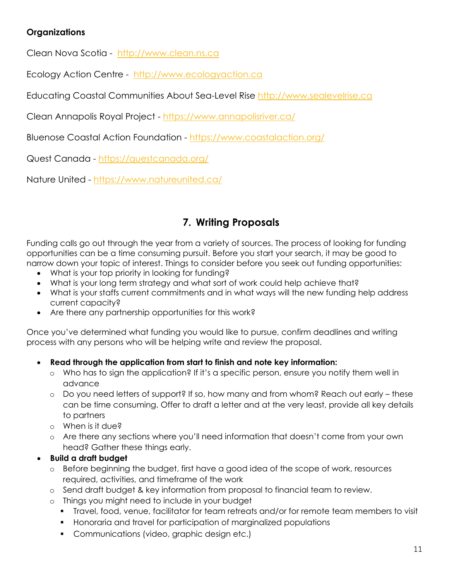#### **Organizations**

Clean Nova Scotia - http://www.clean.ns.ca

Ecology Action Centre - http://www.ecologyaction.ca

Educating Coastal Communities About Sea-Level Rise http://www.sealevelrise.ca

Clean Annapolis Royal Project - https://www.annapolisriver.ca/

Bluenose Coastal Action Foundation - https://www.coastalaction.org/

Quest Canada - https://questcanada.org/

Nature United - https://www.natureunited.ca/

## **7. Writing Proposals**

Funding calls go out through the year from a variety of sources. The process of looking for funding opportunities can be a time consuming pursuit. Before you start your search, it may be good to narrow down your topic of interest. Things to consider before you seek out funding opportunities:

- What is your top priority in looking for funding?
- What is your long term strategy and what sort of work could help achieve that?
- What is your staffs current commitments and in what ways will the new funding help address current capacity?
- Are there any partnership opportunities for this work?

Once you've determined what funding you would like to pursue, confirm deadlines and writing process with any persons who will be helping write and review the proposal.

#### • **Read through the application from start to finish and note key information:**

- o Who has to sign the application? If it's a specific person, ensure you notify them well in advance
- o Do you need letters of support? If so, how many and from whom? Reach out early these can be time consuming. Offer to draft a letter and at the very least, provide all key details to partners
- o When is it due?
- o Are there any sections where you'll need information that doesn't come from your own head? Gather these things early.

#### • **Build a draft budget**

- o Before beginning the budget, first have a good idea of the scope of work, resources required, activities, and timeframe of the work
- o Send draft budget & key information from proposal to financial team to review.
- o Things you might need to include in your budget
	- § Travel, food, venue, facilitator for team retreats and/or for remote team members to visit
	- § Honoraria and travel for participation of marginalized populations
	- Communications (video, graphic design etc.)